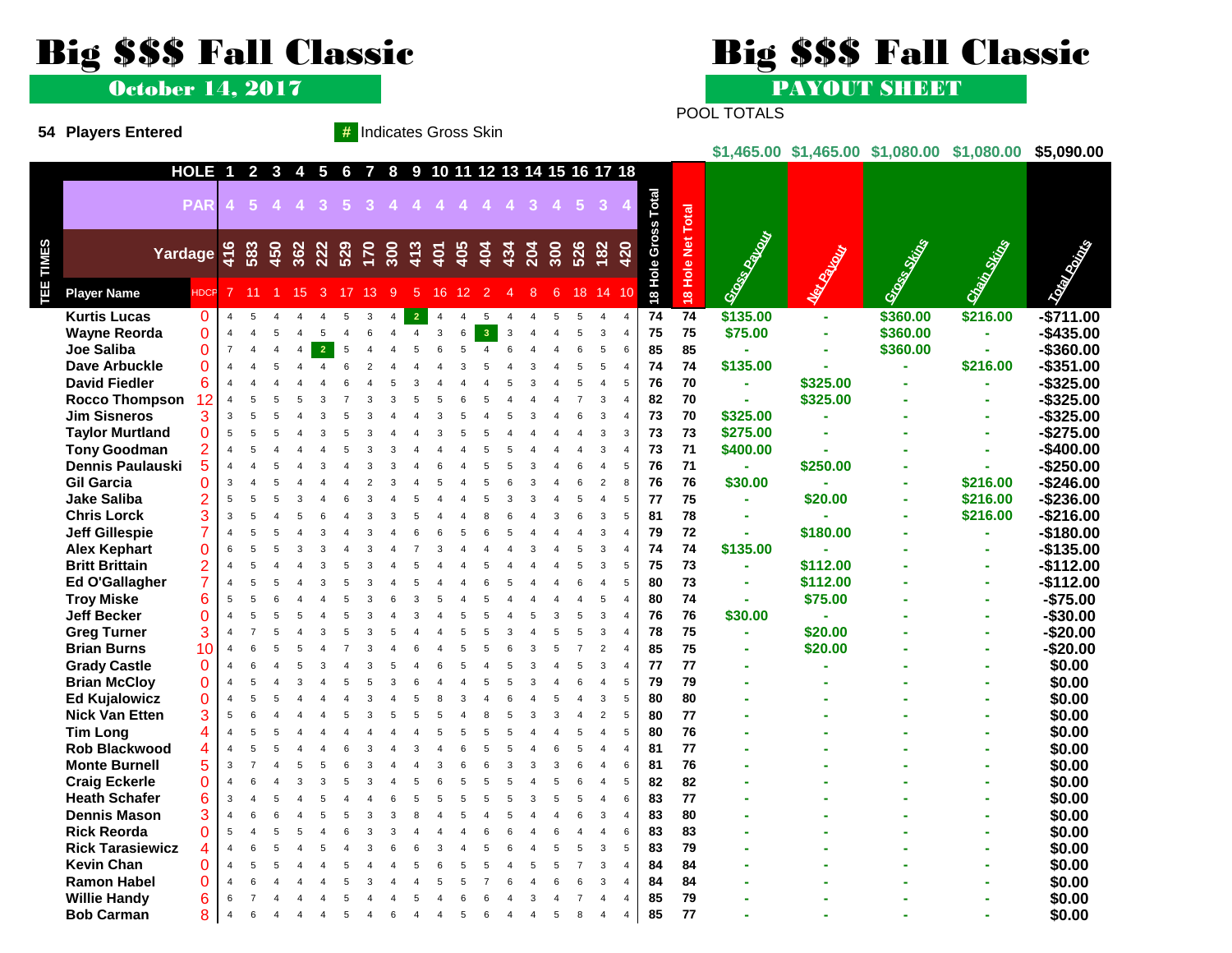## Big \$\$\$ Fall Classic Big \$\$\$ Fall Classic

**54 Players Entered #** Indicates Gross Skin

October 14, 2017 PAYOUT SHEET

POOL TOTALS

|      |                                               |                                                                                 |                |                              |                |                |                         |     |                                         |       |                |    |                |                         |                |          |                                |     |              |                |                         |                    |                   |                      |                  | \$1,465.00 \$1,465.00 \$1,080.00 \$1,080.00 |              | \$5,090.00                 |
|------|-----------------------------------------------|---------------------------------------------------------------------------------|----------------|------------------------------|----------------|----------------|-------------------------|-----|-----------------------------------------|-------|----------------|----|----------------|-------------------------|----------------|----------|--------------------------------|-----|--------------|----------------|-------------------------|--------------------|-------------------|----------------------|------------------|---------------------------------------------|--------------|----------------------------|
|      |                                               |                                                                                 | <b>HOLE</b>    | $\overline{\mathbf{1}}$      |                |                | $2 \quad 3 \quad 4$     |     | 5 6 7                                   |       |                |    |                |                         |                |          | 8 9 10 11 12 13 14 15 16 17 18 |     |              |                |                         |                    |                   |                      |                  |                                             |              |                            |
|      |                                               |                                                                                 |                |                              |                |                |                         |     |                                         |       |                |    |                |                         |                |          |                                |     |              |                |                         |                    |                   |                      |                  |                                             |              |                            |
|      |                                               |                                                                                 |                |                              |                |                |                         |     | PAR 4 5 4 4 3 5 3 4 4 4 4 4 4 3 4 5 3 4 |       |                |    |                |                         |                |          |                                |     |              |                |                         | Total              |                   |                      |                  |                                             |              |                            |
|      |                                               |                                                                                 |                |                              |                |                |                         |     |                                         |       |                |    |                |                         |                |          |                                |     |              |                |                         | Gross <sup>-</sup> | 18 Hole Net Total |                      |                  |                                             |              |                            |
|      |                                               | Yardage = $\frac{6}{7}$ $\frac{6}{7}$ $\frac{6}{7}$ $\frac{6}{7}$ $\frac{6}{7}$ |                |                              |                |                |                         | 222 |                                         |       | 529 325 455    |    |                |                         | 404            | 434      |                                | 300 | 526          |                | $182$<br>420            |                    |                   | Gross of Gross       |                  | Grand String                                | Chain String | <b>CONTROLLER</b>          |
| LIMI |                                               |                                                                                 |                |                              |                |                |                         |     |                                         |       |                |    |                |                         |                |          | 204                            |     |              |                |                         |                    |                   |                      | Martin College R |                                             |              |                            |
| 9    |                                               |                                                                                 |                |                              |                |                |                         |     |                                         |       |                |    |                |                         |                |          |                                |     |              |                |                         | Hole <sup></sup>   |                   |                      |                  |                                             |              |                            |
|      | <b>Player Name</b>                            |                                                                                 | <b>HDCP</b>    |                              | $7 \quad 11$   |                | $1 \quad 15 \quad 3$    |     |                                         | 17 13 | $\overline{9}$ | 5. | 16             | 12                      | $\overline{2}$ |          | 8                              | 6   |              |                | 18 14 10                | $\overline{8}$     |                   |                      |                  |                                             |              |                            |
|      | <b>Kurtis Lucas</b>                           |                                                                                 | $\mathbf{0}$   | $\overline{4}$               | 5              | $\overline{4}$ |                         |     | 5                                       | 3     | $\overline{4}$ |    | $\overline{4}$ | $\overline{\mathbf{A}}$ | 5              | $\Delta$ |                                | 5   | 5            | $\overline{4}$ | $\overline{4}$          | 74                 | $\overline{74}$   | \$135.00             | $\sim$           | \$360.00                                    | \$216.00     | $-$711.00$                 |
|      | <b>Wayne Reorda</b>                           |                                                                                 | $\Omega$       | $\overline{4}$               |                |                |                         |     |                                         | 6     |                |    | 3              | 6                       | -3             |          |                                |     |              | 3              | $\overline{4}$          | 75                 | 75                | \$75.00              |                  | \$360.00                                    |              | $-$435.00$                 |
|      | <b>Joe Saliba</b>                             |                                                                                 | $\Omega$       | $\overline{7}$               | $\overline{4}$ | 4              | $\overline{\mathbf{A}}$ |     |                                         |       |                |    |                |                         |                |          |                                |     |              |                | 6                       | 85                 | 85                |                      |                  | \$360.00                                    |              | $-$360.00$                 |
|      | Dave Arbuckle                                 |                                                                                 | $\Omega$       | $\overline{\mathbf{A}}$      |                |                |                         |     |                                         |       |                |    |                |                         |                |          |                                |     |              |                | $\overline{4}$          | 74                 | 74                | \$135.00             |                  |                                             | \$216.00     | $-$351.00$                 |
|      | <b>David Fiedler</b>                          |                                                                                 | 6              |                              |                |                |                         |     |                                         |       |                |    |                |                         |                |          |                                |     |              |                | 5                       | 76                 | 70                | $\sim$               | \$325.00         |                                             |              | $-$ \$325.00               |
|      | <b>Rocco Thompson</b>                         |                                                                                 | 12             | $\overline{4}$<br>3          |                |                |                         |     |                                         |       |                |    |                |                         |                |          |                                |     |              |                | $\overline{4}$          | 82                 | 70                | à,                   | \$325.00         |                                             |              | $-$325.00$                 |
|      | <b>Jim Sisneros</b><br><b>Taylor Murtland</b> |                                                                                 | 3<br>$\Omega$  | 5                            |                |                |                         |     |                                         |       |                |    |                |                         |                |          |                                |     |              |                | $\overline{4}$<br>3     | 73<br>73           | 70<br>73          | \$325.00<br>\$275.00 |                  |                                             |              | $-$ \$325.00<br>$-$275.00$ |
|      | <b>Tony Goodman</b>                           |                                                                                 |                | $\overline{4}$               |                |                |                         |     |                                         |       |                |    |                |                         |                |          |                                |     |              |                | $\overline{4}$          | 73                 | 71                | \$400.00             |                  |                                             |              | $-$400.00$                 |
|      | Dennis Paulauski                              |                                                                                 | 5              | $\overline{4}$               |                |                |                         |     |                                         |       |                |    |                |                         |                |          |                                |     |              |                | 5                       | 76                 | 71                | $\sim$               | \$250.00         |                                             |              | $-$250.00$                 |
|      | <b>Gil Garcia</b>                             |                                                                                 |                | 3                            |                |                |                         |     |                                         |       |                |    |                |                         |                |          |                                |     |              |                | 8                       | 76                 | 76                | \$30.00              |                  |                                             | \$216.00     | $-$246.00$                 |
|      | <b>Jake Saliba</b>                            |                                                                                 | $\overline{2}$ | 5                            |                |                |                         |     |                                         |       |                |    |                |                         |                |          |                                |     |              |                | 5                       | 77                 | 75                | $\sim$               | \$20.00          |                                             | \$216.00     | $-$236.00$                 |
|      | <b>Chris Lorck</b>                            |                                                                                 | 3              | $\overline{3}$               | 5              |                |                         |     |                                         |       |                |    |                |                         |                |          |                                |     |              |                | 5                       | 81                 | 78                |                      |                  |                                             | \$216.00     | $-$216.00$                 |
|      | <b>Jeff Gillespie</b>                         |                                                                                 |                | $\overline{4}$               |                |                |                         |     |                                         |       |                |    |                |                         |                |          |                                |     |              |                | $\overline{\mathbf{A}}$ | 79                 | 72                | ä,                   | \$180.00         |                                             |              | $-$180.00$                 |
|      | <b>Alex Kephart</b>                           |                                                                                 | $\overline{0}$ | 6                            |                |                |                         |     |                                         |       |                |    |                |                         |                |          |                                |     |              |                | $\overline{4}$          | 74                 | 74                | \$135.00             |                  |                                             |              | $-$135.00$                 |
|      | <b>Britt Brittain</b>                         |                                                                                 |                | $\overline{4}$               |                |                |                         |     |                                         |       |                |    |                |                         |                |          |                                |     |              |                | 5                       | 75                 | 73                | $\sim$               | \$112.00         |                                             |              | $-$112.00$                 |
|      | Ed O'Gallagher                                |                                                                                 |                | $\overline{\mathbf{A}}$      |                |                |                         |     |                                         |       |                |    |                |                         |                |          |                                |     |              |                | 5                       | 80                 | 73                |                      | \$112.00         |                                             |              | $-$112.00$                 |
|      | <b>Troy Miske</b>                             |                                                                                 | 6              | 5                            | $\overline{a}$ |                |                         |     |                                         |       |                |    |                |                         |                |          |                                |     |              |                | $\overline{4}$          | 80                 | 74                |                      | \$75.00          |                                             |              | $-$75.00$                  |
|      | <b>Jeff Becker</b>                            |                                                                                 | $\overline{0}$ | $\overline{4}$               | 5              |                |                         |     |                                         |       |                |    |                |                         |                |          |                                |     |              |                | $\overline{4}$          | 76                 | 76                | \$30.00              |                  |                                             |              | $-$30.00$                  |
|      | <b>Greg Turner</b>                            |                                                                                 | 3              |                              |                |                |                         |     |                                         |       |                |    |                |                         |                |          |                                |     |              |                | $\overline{4}$          | 78                 | 75                | $\mathbf{r}$         | \$20.00          |                                             |              | $-$20.00$                  |
|      | <b>Brian Burns</b>                            |                                                                                 | 10             | $\overline{\mathbf{A}}$      |                |                |                         |     |                                         |       |                |    |                |                         |                |          |                                |     |              |                | $\overline{\mathbf{A}}$ | 85                 | 75                | ä,                   | \$20.00          |                                             |              | $-$20.00$                  |
|      | <b>Grady Castle</b>                           |                                                                                 | $\Omega$       | $\overline{4}$               |                |                |                         |     |                                         |       |                |    |                |                         |                |          |                                |     |              |                | $\overline{4}$          | 77                 | 77                |                      |                  |                                             |              | \$0.00                     |
|      | <b>Brian McCloy</b>                           |                                                                                 | $\Omega$       |                              |                |                |                         |     |                                         |       |                |    |                |                         |                |          |                                |     |              |                | 5                       | 79                 | 79                |                      |                  |                                             |              | \$0.00                     |
|      | <b>Ed Kujalowicz</b>                          |                                                                                 | $\Omega$<br>3  | $\overline{4}$               | 5              |                |                         |     |                                         |       |                |    |                |                         |                |          |                                |     |              |                | 5                       | 80                 | 80<br>77          |                      |                  |                                             |              | \$0.00                     |
|      | <b>Nick Van Etten</b><br><b>Tim Long</b>      |                                                                                 |                | 5<br>$\overline{\mathbf{A}}$ |                |                |                         |     |                                         |       |                |    |                |                         |                |          |                                |     |              |                | 5<br>5                  | 80<br>80           | 76                |                      |                  |                                             |              | \$0.00<br>\$0.00           |
|      | <b>Rob Blackwood</b>                          |                                                                                 | 4              | $\overline{4}$               |                |                |                         |     |                                         |       |                |    |                |                         |                |          |                                |     |              |                | $\overline{4}$          | 81                 | 77                |                      |                  |                                             |              | \$0.00                     |
|      | <b>Monte Burnell</b>                          |                                                                                 | 5              | 3                            |                |                |                         |     |                                         |       |                |    |                |                         |                |          |                                |     |              |                | 6                       | 81                 | 76                |                      |                  |                                             |              | \$0.00                     |
|      | <b>Craig Eckerle</b>                          |                                                                                 | $\Omega$       | $\overline{4}$               |                |                |                         |     |                                         |       |                |    |                |                         |                |          |                                |     |              |                | 5                       | 82                 | 82                |                      |                  |                                             |              | \$0.00                     |
|      | <b>Heath Schafer</b>                          |                                                                                 | 6              | 3                            |                |                |                         |     |                                         |       |                |    |                |                         |                |          |                                |     |              |                | 6                       | 83                 | 77                |                      |                  |                                             |              | \$0.00                     |
|      | <b>Dennis Mason</b>                           |                                                                                 | 3              | $\overline{\mathbf{4}}$      |                |                |                         |     |                                         |       |                |    |                |                         |                |          |                                |     |              |                | $\overline{4}$          | 83                 | 80                |                      |                  |                                             |              | \$0.00                     |
|      | <b>Rick Reorda</b>                            |                                                                                 | $\Omega$       | 5                            |                |                |                         |     |                                         |       |                |    |                |                         |                |          |                                |     |              |                | 6                       | 83                 | 83                |                      |                  |                                             |              | \$0.00                     |
|      | <b>Rick Tarasiewicz</b>                       |                                                                                 |                |                              |                |                |                         |     |                                         |       |                |    |                |                         |                |          |                                |     |              |                | 5                       | 83                 | 79                |                      |                  |                                             |              | \$0.00                     |
|      | <b>Kevin Chan</b>                             |                                                                                 | $\Omega$       | $\overline{4}$               | 5              |                |                         |     |                                         |       |                |    |                |                         |                |          |                                |     |              |                | $\overline{4}$          | 84                 | 84                |                      |                  |                                             |              | \$0.00                     |
|      | <b>Ramon Habel</b>                            |                                                                                 | $\Omega$       |                              |                |                |                         |     |                                         |       |                |    |                |                         |                |          |                                |     |              |                | $\overline{4}$          | 84                 | 84                |                      |                  |                                             |              | \$0.00                     |
|      | <b>Willie Handy</b>                           |                                                                                 | 6              | 6                            |                |                |                         |     |                                         |       |                |    |                |                         |                |          |                                |     |              |                | $\overline{\mathbf{A}}$ | 85                 | 79                |                      |                  |                                             |              | \$0.00                     |
|      | <b>Bob Carman</b>                             |                                                                                 | 8              | $\overline{4}$               | 6              |                |                         |     |                                         |       |                |    |                | 5                       |                |          |                                | 5   | $\mathsf{R}$ | $\Delta$       | $\overline{4}$          | 85                 | 77                |                      |                  |                                             |              | \$0.00                     |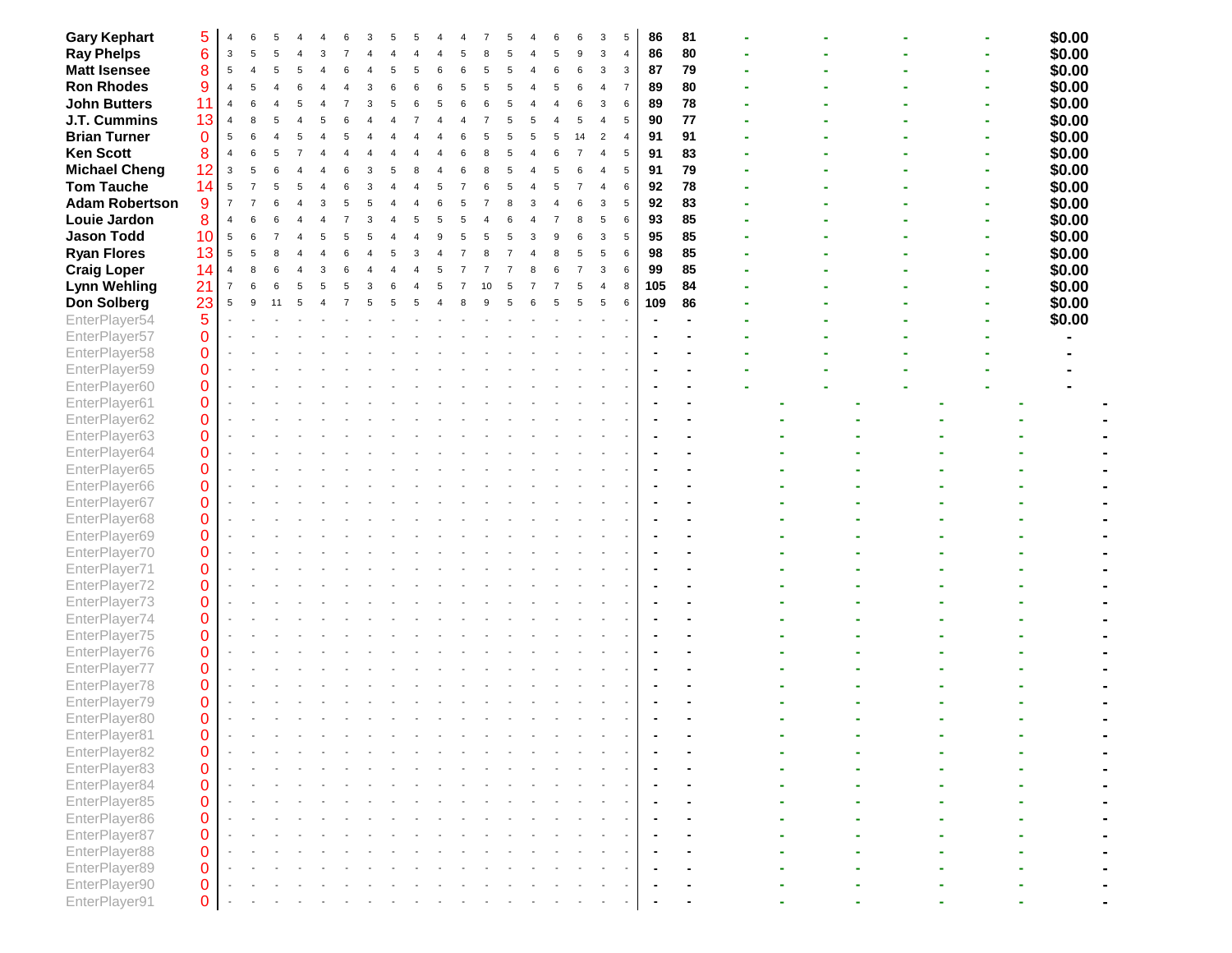| <b>Gary Kephart</b>   | 5           |                |              |   |   |   |  |   |   |   |   |   |   |   |    |                | 5              | 86  | 81 |  |  |  |  | \$0.00 |
|-----------------------|-------------|----------------|--------------|---|---|---|--|---|---|---|---|---|---|---|----|----------------|----------------|-----|----|--|--|--|--|--------|
|                       |             | 3              | 5            |   |   |   |  |   |   |   |   |   |   |   |    | 3              | $\overline{4}$ | 86  | 80 |  |  |  |  |        |
| <b>Ray Phelps</b>     | 6           |                |              |   |   |   |  |   |   |   |   |   |   |   |    |                |                |     |    |  |  |  |  | \$0.00 |
| <b>Matt Isensee</b>   | 8           | 5              |              |   |   |   |  | 5 | 6 | 6 | 5 |   |   | 6 | 6  | 3              | 3              | 87  | 79 |  |  |  |  | \$0.00 |
| <b>Ron Rhodes</b>     | 9           | $\overline{4}$ | 5            |   |   |   |  |   |   | 5 |   |   |   | 5 |    |                |                | 89  | 80 |  |  |  |  | \$0.00 |
| <b>John Butters</b>   | 11          | $\overline{4}$ | 6            |   |   |   |  |   |   |   |   |   |   |   |    | 3              | 6              | 89  | 78 |  |  |  |  | \$0.00 |
| J.T. Cummins          | 13          | $\overline{4}$ | $\mathsf{R}$ |   |   |   |  |   |   |   |   |   |   |   |    |                | 5              | 90  | 77 |  |  |  |  | \$0.00 |
| <b>Brian Turner</b>   | $\mathbf 0$ | 5              | 6            |   | 5 |   |  |   |   |   |   |   |   |   | 14 | $\mathfrak{p}$ | $\overline{4}$ | 91  | 91 |  |  |  |  | \$0.00 |
| <b>Ken Scott</b>      | 8           | $\overline{4}$ |              |   |   |   |  |   |   |   |   |   |   |   |    |                | 5              | 91  | 83 |  |  |  |  | \$0.00 |
| <b>Michael Cheng</b>  | 12          | 3              | 5            |   |   |   |  |   |   |   |   |   |   |   |    |                | 5              | 91  | 79 |  |  |  |  | \$0.00 |
| <b>Tom Tauche</b>     | 14          | 5              |              |   |   |   |  |   |   |   |   |   |   |   |    |                | 6              | 92  | 78 |  |  |  |  | \$0.00 |
| <b>Adam Robertson</b> | 9           | $\overline{7}$ |              |   |   |   |  |   |   |   |   |   |   |   |    |                | 5              | 92  | 83 |  |  |  |  | \$0.00 |
| Louie Jardon          | 8           | $\overline{4}$ |              |   |   |   |  |   | 5 | 5 |   |   |   |   |    | 5              | 6              | 93  | 85 |  |  |  |  | \$0.00 |
| <b>Jason Todd</b>     | 10          | 5              | 6            |   |   |   |  |   |   | 5 |   | 5 | 3 | c |    | 3              | 5              | 95  | 85 |  |  |  |  | \$0.00 |
|                       |             |                |              |   |   |   |  |   |   |   |   |   |   |   |    |                |                | 98  | 85 |  |  |  |  |        |
| <b>Ryan Flores</b>    | 13          | 5              | 5            |   |   |   |  |   |   |   |   |   |   |   |    | 5              | 6              |     |    |  |  |  |  | \$0.00 |
| <b>Craig Loper</b>    | 14          | $\overline{4}$ | 8            | 6 |   | 3 |  |   |   |   |   |   |   |   |    | 3              | 6              | 99  | 85 |  |  |  |  | \$0.00 |
| <b>Lynn Wehling</b>   | 21          | $\overline{7}$ | 6            |   |   |   |  |   |   |   |   |   |   |   |    |                | 8              | 105 | 84 |  |  |  |  | \$0.00 |
| Don Solberg           | 23          | 5              | 9            |   |   |   |  |   |   |   |   |   |   |   | 5  | 5              | 6              | 109 | 86 |  |  |  |  | \$0.00 |
| EnterPlayer54         | 5           |                |              |   |   |   |  |   |   |   |   |   |   |   |    |                |                |     |    |  |  |  |  | \$0.00 |
| EnterPlayer57         | 0           |                |              |   |   |   |  |   |   |   |   |   |   |   |    |                |                |     |    |  |  |  |  |        |
| EnterPlayer58         | 0           |                |              |   |   |   |  |   |   |   |   |   |   |   |    |                |                |     |    |  |  |  |  |        |
| EnterPlayer59         | 0           |                |              |   |   |   |  |   |   |   |   |   |   |   |    |                |                |     |    |  |  |  |  |        |
| EnterPlayer60         | 0           |                |              |   |   |   |  |   |   |   |   |   |   |   |    |                |                |     |    |  |  |  |  |        |
| EnterPlayer61         | 0           |                |              |   |   |   |  |   |   |   |   |   |   |   |    |                |                |     |    |  |  |  |  |        |
| EnterPlayer62         | 0           |                |              |   |   |   |  |   |   |   |   |   |   |   |    |                |                |     |    |  |  |  |  |        |
| EnterPlayer63         | 0           |                |              |   |   |   |  |   |   |   |   |   |   |   |    |                |                |     |    |  |  |  |  |        |
| EnterPlayer64         | 0           |                |              |   |   |   |  |   |   |   |   |   |   |   |    |                |                |     |    |  |  |  |  |        |
| EnterPlayer65         | 0           |                |              |   |   |   |  |   |   |   |   |   |   |   |    |                |                |     |    |  |  |  |  |        |
| EnterPlayer66         | 0           |                |              |   |   |   |  |   |   |   |   |   |   |   |    |                |                |     |    |  |  |  |  |        |
|                       |             |                |              |   |   |   |  |   |   |   |   |   |   |   |    |                |                |     |    |  |  |  |  |        |
| EnterPlayer67         | 0           |                |              |   |   |   |  |   |   |   |   |   |   |   |    |                |                |     |    |  |  |  |  |        |
| EnterPlayer68         | 0           |                |              |   |   |   |  |   |   |   |   |   |   |   |    |                |                |     |    |  |  |  |  |        |
| EnterPlayer69         | 0           |                |              |   |   |   |  |   |   |   |   |   |   |   |    |                |                |     |    |  |  |  |  |        |
| EnterPlayer70         | 0           |                |              |   |   |   |  |   |   |   |   |   |   |   |    |                |                |     |    |  |  |  |  |        |
| EnterPlayer71         | 0           |                |              |   |   |   |  |   |   |   |   |   |   |   |    |                |                |     |    |  |  |  |  |        |
| EnterPlayer72         | 0           |                |              |   |   |   |  |   |   |   |   |   |   |   |    |                |                |     |    |  |  |  |  |        |
| EnterPlayer73         | 0           |                |              |   |   |   |  |   |   |   |   |   |   |   |    |                |                |     |    |  |  |  |  |        |
| EnterPlayer74         | 0           |                |              |   |   |   |  |   |   |   |   |   |   |   |    |                |                |     |    |  |  |  |  |        |
| EnterPlayer75         | 0           |                |              |   |   |   |  |   |   |   |   |   |   |   |    |                |                |     |    |  |  |  |  |        |
| EnterPlayer76         | 0           |                |              |   |   |   |  |   |   |   |   |   |   |   |    |                |                |     |    |  |  |  |  |        |
| EnterPlayer77         | 0           |                |              |   |   |   |  |   |   |   |   |   |   |   |    |                |                |     |    |  |  |  |  |        |
| EnterPlayer78         | 0           |                |              |   |   |   |  |   |   |   |   |   |   |   |    |                |                |     |    |  |  |  |  |        |
| EnterPlayer79         | 0           |                |              |   |   |   |  |   |   |   |   |   |   |   |    |                |                |     |    |  |  |  |  |        |
| EnterPlayer80         | 0           |                |              |   |   |   |  |   |   |   |   |   |   |   |    |                |                |     |    |  |  |  |  |        |
| EnterPlayer81         | 0           |                |              |   |   |   |  |   |   |   |   |   |   |   |    |                |                |     |    |  |  |  |  |        |
| EnterPlayer82         | 0           |                |              |   |   |   |  |   |   |   |   |   |   |   |    |                |                |     |    |  |  |  |  |        |
| EnterPlayer83         | 0           |                |              |   |   |   |  |   |   |   |   |   |   |   |    |                |                |     |    |  |  |  |  |        |
| EnterPlayer84         | 0           |                |              |   |   |   |  |   |   |   |   |   |   |   |    |                |                |     |    |  |  |  |  |        |
| EnterPlayer85         | 0           |                |              |   |   |   |  |   |   |   |   |   |   |   |    |                |                |     |    |  |  |  |  |        |
|                       | 0           |                |              |   |   |   |  |   |   |   |   |   |   |   |    |                |                |     |    |  |  |  |  |        |
| EnterPlayer86         |             |                |              |   |   |   |  |   |   |   |   |   |   |   |    |                |                |     |    |  |  |  |  |        |
| EnterPlayer87         | 0           |                |              |   |   |   |  |   |   |   |   |   |   |   |    |                |                |     |    |  |  |  |  |        |
| EnterPlayer88         | 0           |                |              |   |   |   |  |   |   |   |   |   |   |   |    |                |                |     |    |  |  |  |  |        |
| EnterPlayer89         | 0           |                |              |   |   |   |  |   |   |   |   |   |   |   |    |                |                |     |    |  |  |  |  |        |
| EnterPlayer90         | 0           |                |              |   |   |   |  |   |   |   |   |   |   |   |    |                |                |     |    |  |  |  |  |        |
| EnterPlayer91         | 0           |                |              |   |   |   |  |   |   |   |   |   |   |   |    |                |                |     |    |  |  |  |  |        |